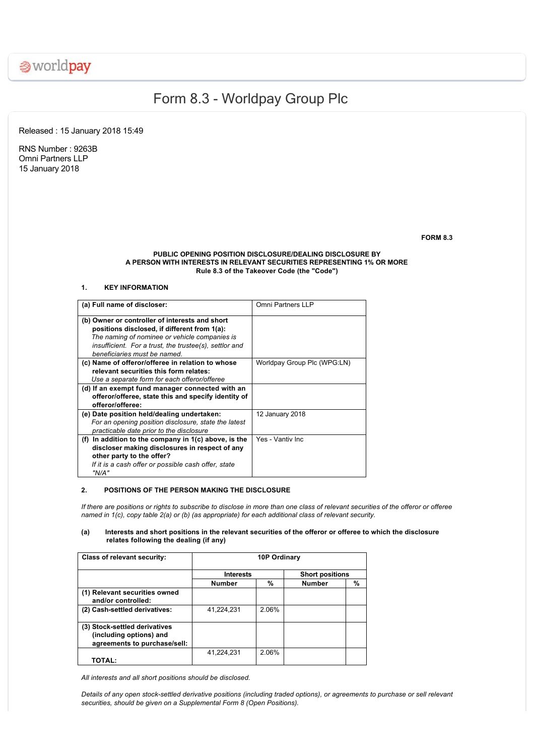

# Form 8.3 Worldpay Group Plc

Released : 15 January 2018 15:49

RNS Number : 9263B Omni Partners LLP 15 January 2018

**FORM 8.3**

## **PUBLIC OPENING POSITION DISCLOSURE/DEALING DISCLOSURE BY A PERSON WITH INTERESTS IN RELEVANT SECURITIES REPRESENTING 1% OR MORE Rule 8.3 of the Takeover Code (the "Code")**

# **1. KEY INFORMATION**

| (a) Full name of discloser:                            | Omni Partners LLP           |
|--------------------------------------------------------|-----------------------------|
|                                                        |                             |
| (b) Owner or controller of interests and short         |                             |
| positions disclosed, if different from 1(a):           |                             |
| The naming of nominee or vehicle companies is          |                             |
| insufficient. For a trust, the trustee(s), settlor and |                             |
| beneficiaries must be named                            |                             |
| (c) Name of offeror/offeree in relation to whose       | Worldpay Group Plc (WPG:LN) |
| relevant securities this form relates:                 |                             |
| Use a separate form for each offeror/offeree           |                             |
| (d) If an exempt fund manager connected with an        |                             |
| offeror/offeree, state this and specify identity of    |                             |
| offeror/offeree:                                       |                             |
| (e) Date position held/dealing undertaken:             | 12 January 2018             |
| For an opening position disclosure, state the latest   |                             |
| practicable date prior to the disclosure               |                             |
| (f) In addition to the company in $1(c)$ above, is the | Yes - Vantiv Inc            |
| discloser making disclosures in respect of any         |                             |
| other party to the offer?                              |                             |
| If it is a cash offer or possible cash offer, state    |                             |
| "N/A"                                                  |                             |

## **2. POSITIONS OF THE PERSON MAKING THE DISCLOSURE**

*If there are positions or rights to subscribe to disclose in more than one class of relevant securities of the offeror or offeree named in 1(c), copy table 2(a) or (b) (as appropriate) for each additional class of relevant security.*

# **(a) Interests and short positions in the relevant securities of the offeror or offeree to which the disclosure relates following the dealing (if any)**

| <b>Class of relevant security:</b>                                                       | 10P Ordinary     |       |                        |   |  |
|------------------------------------------------------------------------------------------|------------------|-------|------------------------|---|--|
|                                                                                          | <b>Interests</b> |       | <b>Short positions</b> |   |  |
|                                                                                          | <b>Number</b>    | %     | <b>Number</b>          | % |  |
| (1) Relevant securities owned<br>and/or controlled:                                      |                  |       |                        |   |  |
| (2) Cash-settled derivatives:                                                            | 41.224.231       | 2.06% |                        |   |  |
| (3) Stock-settled derivatives<br>(including options) and<br>agreements to purchase/sell: |                  |       |                        |   |  |
| <b>TOTAL:</b>                                                                            | 41,224,231       | 2.06% |                        |   |  |

*All interests and all short positions should be disclosed.*

*Details of any open stocksettled derivative positions (including traded options), or agreements to purchase or sell relevant securities, should be given on a Supplemental Form 8 (Open Positions).*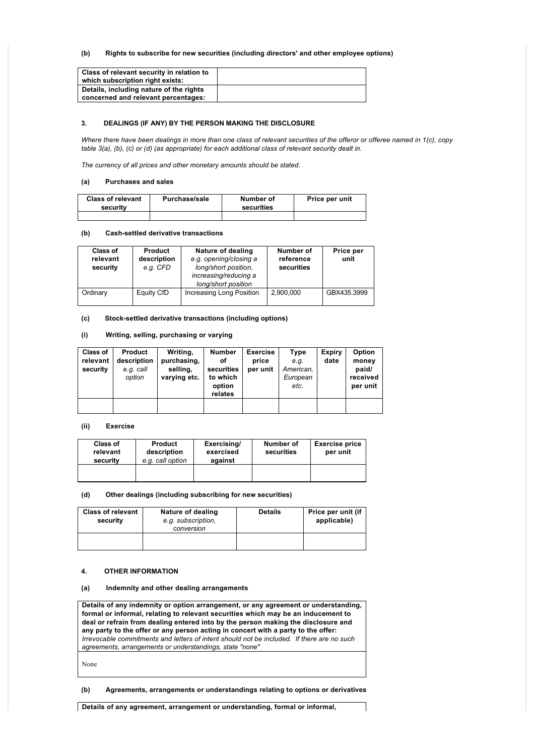# **(b) Rights to subscribe for new securities (including directors' and other employee options)**

| Class of relevant security in relation to |  |
|-------------------------------------------|--|
| which subscription right exists:          |  |
| Details, including nature of the rights   |  |
| concerned and relevant percentages:       |  |

# **3. DEALINGS (IF ANY) BY THE PERSON MAKING THE DISCLOSURE**

*Where there have been dealings in more than one class of relevant securities of the offeror or offeree named in 1(c), copy table 3(a), (b), (c) or (d) (as appropriate) for each additional class of relevant security dealt in.*

*The currency of all prices and other monetary amounts should be stated.*

# **(a) Purchases and sales**

| <b>Class of relevant</b><br>security | <b>Purchase/sale</b> | Number of<br>securities | Price per unit |
|--------------------------------------|----------------------|-------------------------|----------------|
|                                      |                      |                         |                |

#### **(b) Cashsettled derivative transactions**

| Class of<br>relevant<br>security | <b>Product</b><br>description<br>e.g. CFD | Nature of dealing<br>e.g. opening/closing a<br>long/short position.<br>increasing/reducing a<br>long/short position | Number of<br>reference<br>securities | Price per<br>unit |
|----------------------------------|-------------------------------------------|---------------------------------------------------------------------------------------------------------------------|--------------------------------------|-------------------|
| Ordinary                         | Equity CfD                                | Increasing Long Position                                                                                            | 2,900,000                            | GBX435.3999       |

**(c) Stocksettled derivative transactions (including options)**

# **(i) Writing, selling, purchasing or varying**

| Class of<br>relevant<br>security | <b>Product</b><br>description<br>e.g. call<br>option | Writing,<br>purchasing,<br>selling,<br>varying etc. | <b>Number</b><br>οf<br>securities<br>to which<br>option<br>relates | <b>Exercise</b><br>price<br>per unit | Type<br>e.q.<br>American,<br>European<br>etc. | <b>Expiry</b><br>date | Option<br>money<br>paid/<br>received<br>per unit |
|----------------------------------|------------------------------------------------------|-----------------------------------------------------|--------------------------------------------------------------------|--------------------------------------|-----------------------------------------------|-----------------------|--------------------------------------------------|
|                                  |                                                      |                                                     |                                                                    |                                      |                                               |                       |                                                  |

# **(ii) Exercise**

| Class of<br>relevant<br>security | <b>Product</b><br>description<br>e.g. call option | Exercising/<br>exercised<br>against | Number of<br>securities | <b>Exercise price</b><br>per unit |
|----------------------------------|---------------------------------------------------|-------------------------------------|-------------------------|-----------------------------------|
|                                  |                                                   |                                     |                         |                                   |

# **(d) Other dealings (including subscribing for new securities)**

| <b>Class of relevant</b><br>security | Nature of dealing<br>e.g. subscription.<br>conversion | <b>Details</b> | Price per unit (if<br>applicable) |
|--------------------------------------|-------------------------------------------------------|----------------|-----------------------------------|
|                                      |                                                       |                |                                   |

### **4. OTHER INFORMATION**

## **(a) Indemnity and other dealing arrangements**

**Details of any indemnity or option arrangement, or any agreement or understanding, formal or informal, relating to relevant securities which may be an inducement to deal or refrain from dealing entered into by the person making the disclosure and any party to the offer or any person acting in concert with a party to the offer:** *Irrevocable commitments and letters of intent should not be included. If there are no such agreements, arrangements or understandings, state "none"*

None

**(b) Agreements, arrangements or understandings relating to options or derivatives**